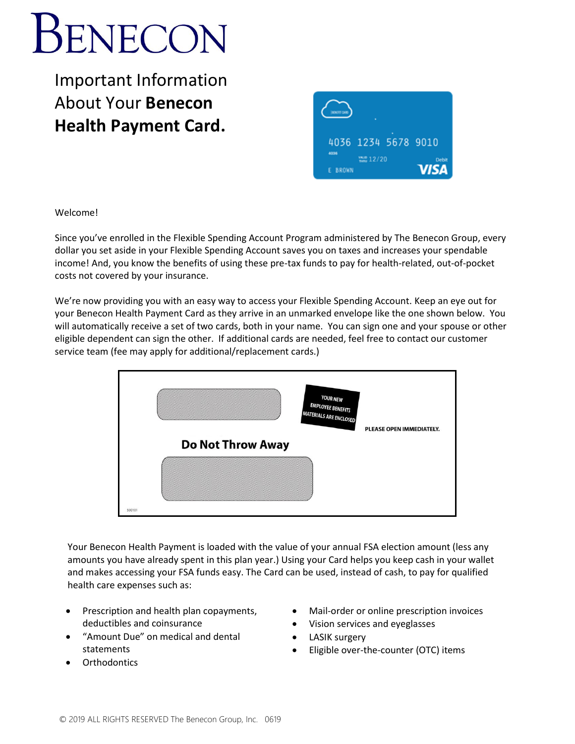# **BENECON**

Important Information About Your **Benecon Health Payment Card.**



Welcome!

Since you've enrolled in the Flexible Spending Account Program administered by The Benecon Group, every dollar you set aside in your Flexible Spending Account saves you on taxes and increases your spendable income! And, you know the benefits of using these pre-tax funds to pay for health-related, out-of-pocket costs not covered by your insurance.

We're now providing you with an easy way to access your Flexible Spending Account. Keep an eye out for your Benecon Health Payment Card as they arrive in an unmarked envelope like the one shown below. You will automatically receive a set of two cards, both in your name. You can sign one and your spouse or other eligible dependent can sign the other. If additional cards are needed, feel free to contact our customer service team (fee may apply for additional/replacement cards.)



Your Benecon Health Payment is loaded with the value of your annual FSA election amount (less any amounts you have already spent in this plan year.) Using your Card helps you keep cash in your wallet and makes accessing your FSA funds easy. The Card can be used, instead of cash, to pay for qualified health care expenses such as:

- Prescription and health plan copayments, deductibles and coinsurance
- "Amount Due" on medical and dental statements
- **Orthodontics**
- Mail-order or online prescription invoices
- Vision services and eyeglasses
- LASIK surgery
- Eligible over-the-counter (OTC) items